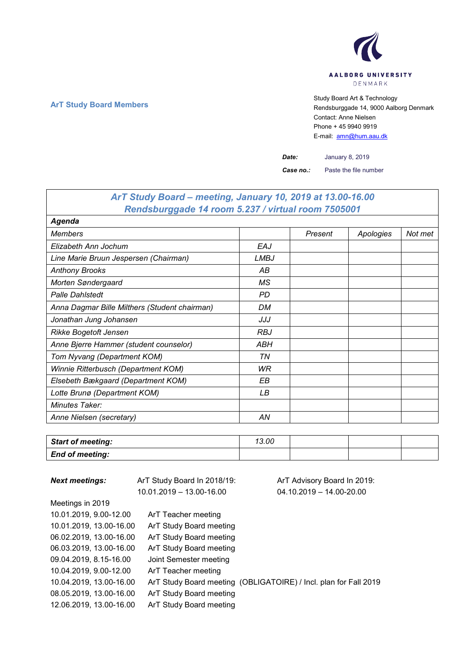

**ArT Study Board Members** Study Board Art & Technology **Art Study Board Art & Technology** Rendsburggade 14, 9000 Aalborg Denmark Contact: Anne Nielsen Phone + 45 9940 9919 E-mail: [amn@hum.aau.dk](mailto:amn@hum.aau.dk)

 $\overline{1}$ 

*Date:* January 8, 2019

*Case no.:* Paste the file number

| ArT Study Board – meeting, January 10, 2019 at 13.00-16.00 |      |         |           |         |  |
|------------------------------------------------------------|------|---------|-----------|---------|--|
| Rendsburggade 14 room 5.237 / virtual room 7505001         |      |         |           |         |  |
| Agenda                                                     |      |         |           |         |  |
| <b>Members</b>                                             |      | Present | Apologies | Not met |  |
| Elizabeth Ann Jochum                                       | EAJ  |         |           |         |  |
| Line Marie Bruun Jespersen (Chairman)                      | LMBJ |         |           |         |  |
| <b>Anthony Brooks</b>                                      | АB   |         |           |         |  |
| Morten Søndergaard                                         | МS   |         |           |         |  |
| <b>Palle Dahistedt</b>                                     | PD   |         |           |         |  |
| Anna Dagmar Bille Milthers (Student chairman)              | DM   |         |           |         |  |
| Jonathan Jung Johansen                                     | JJJ  |         |           |         |  |
| <b>Rikke Bogetoft Jensen</b>                               | RBJ  |         |           |         |  |
| Anne Bjerre Hammer (student counselor)                     | ABH  |         |           |         |  |
| Tom Nyvang (Department KOM)                                | ΤN   |         |           |         |  |
| Winnie Ritterbusch (Department KOM)                        | WR   |         |           |         |  |
| Elsebeth Bækgaard (Department KOM)                         | EВ   |         |           |         |  |
| Lotte Brunø (Department KOM)                               | LВ   |         |           |         |  |
| Minutes Taker:                                             |      |         |           |         |  |
| Anne Nielsen (secretary)                                   | ΑN   |         |           |         |  |

| Start of meeting:      | 13.00 |  |  |
|------------------------|-------|--|--|
| <b>End of meeting:</b> |       |  |  |

| <b>Next meetings:</b>   | ArT Study Board In 2018/19: | ArT Advisory Board In 2019:                                      |
|-------------------------|-----------------------------|------------------------------------------------------------------|
|                         | 10.01.2019 - 13.00-16.00    | $04.10.2019 - 14.00 - 20.00$                                     |
| Meetings in 2019        |                             |                                                                  |
| 10.01.2019, 9.00-12.00  | ArT Teacher meeting         |                                                                  |
| 10.01.2019, 13.00-16.00 | ArT Study Board meeting     |                                                                  |
| 06.02.2019, 13.00-16.00 | ArT Study Board meeting     |                                                                  |
| 06.03.2019, 13.00-16.00 | ArT Study Board meeting     |                                                                  |
| 09.04.2019, 8.15-16.00  | Joint Semester meeting      |                                                                  |
| 10.04.2019, 9.00-12.00  | ArT Teacher meeting         |                                                                  |
| 10.04.2019, 13.00-16.00 |                             | ArT Study Board meeting (OBLIGATOIRE) / Incl. plan for Fall 2019 |
| 08.05.2019, 13.00-16.00 | ArT Study Board meeting     |                                                                  |
| 12.06.2019. 13.00-16.00 | ArT Study Board meeting     |                                                                  |

 $\mathsf{r}$